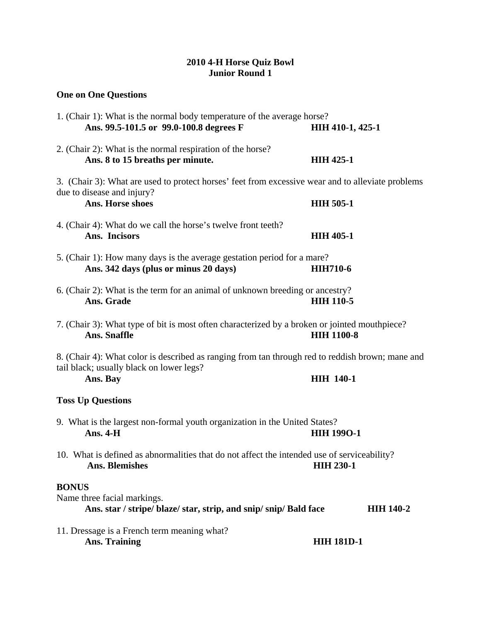## **2010 4-H Horse Quiz Bowl Junior Round 1**

## **One on One Questions**

| 1. (Chair 1): What is the normal body temperature of the average horse?<br>Ans. 99.5-101.5 or 99.0-100.8 degrees F                           | <b>HIH 410-1, 425-1</b> |  |
|----------------------------------------------------------------------------------------------------------------------------------------------|-------------------------|--|
| 2. (Chair 2): What is the normal respiration of the horse?<br>Ans. 8 to 15 breaths per minute.                                               | <b>HIH 425-1</b>        |  |
| 3. (Chair 3): What are used to protect horses' feet from excessive wear and to alleviate problems                                            |                         |  |
| due to disease and injury?<br>Ans. Horse shoes                                                                                               | <b>HIH 505-1</b>        |  |
| 4. (Chair 4): What do we call the horse's twelve front teeth?<br>Ans. Incisors                                                               | <b>HIH 405-1</b>        |  |
| 5. (Chair 1): How many days is the average gestation period for a mare?<br>Ans. 342 days (plus or minus 20 days)                             | <b>HIH710-6</b>         |  |
| 6. (Chair 2): What is the term for an animal of unknown breeding or ancestry?<br>Ans. Grade                                                  | <b>HIH 110-5</b>        |  |
| 7. (Chair 3): What type of bit is most often characterized by a broken or jointed mouthpiece?<br><b>Ans. Snaffle</b>                         | <b>HIH 1100-8</b>       |  |
| 8. (Chair 4): What color is described as ranging from tan through red to reddish brown; mane and<br>tail black; usually black on lower legs? |                         |  |
| Ans. Bay                                                                                                                                     | <b>HIH 140-1</b>        |  |
| <b>Toss Up Questions</b>                                                                                                                     |                         |  |
| 9. What is the largest non-formal youth organization in the United States?<br>Ans. $4-H$                                                     | <b>HIH 1990-1</b>       |  |
| 10. What is defined as abnormalities that do not affect the intended use of serviceability?<br>Ans. Blemishes                                | <b>HIH 230-1</b>        |  |
| <b>BONUS</b><br>Name three facial markings.<br>Ans. star / stripe/ blaze/ star, strip, and snip/ snip/ Bald face                             | <b>HIH 140-2</b>        |  |
| 11. Dressage is a French term meaning what?<br><b>Ans. Training</b>                                                                          | <b>HIH 181D-1</b>       |  |